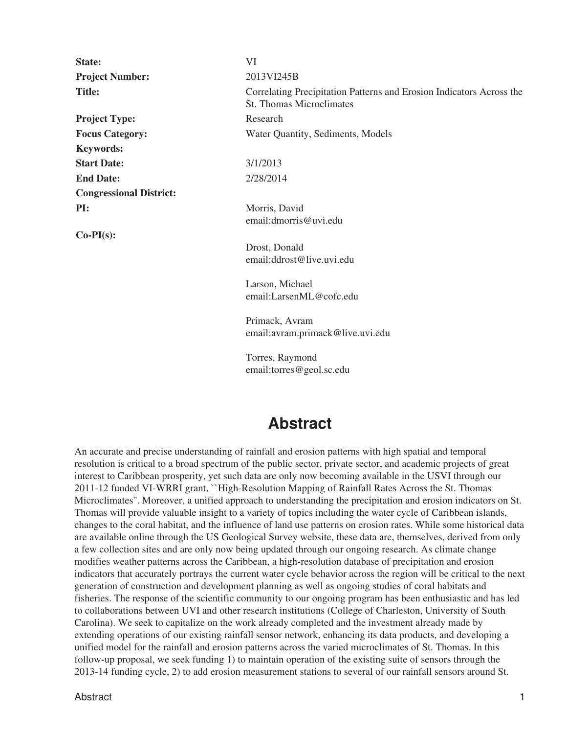| State:                         | VI                                                                                               |
|--------------------------------|--------------------------------------------------------------------------------------------------|
| <b>Project Number:</b>         | 2013VI245B                                                                                       |
| <b>Title:</b>                  | Correlating Precipitation Patterns and Erosion Indicators Across the<br>St. Thomas Microclimates |
| <b>Project Type:</b>           | Research                                                                                         |
| <b>Focus Category:</b>         | Water Quantity, Sediments, Models                                                                |
| <b>Keywords:</b>               |                                                                                                  |
| <b>Start Date:</b>             | 3/1/2013                                                                                         |
| <b>End Date:</b>               | 2/28/2014                                                                                        |
| <b>Congressional District:</b> |                                                                                                  |
| PI:                            | Morris, David<br>email:dmorris@uvi.edu                                                           |
| $Co-PI(s)$ :                   |                                                                                                  |
|                                | Drost, Donald<br>email:ddrost@live.uvi.edu                                                       |
|                                | Larson, Michael<br>email:LarsenML@cofc.edu                                                       |
|                                | Primack, Avram<br>email:avram.primack@live.uvi.edu                                               |
|                                | Torres, Raymond<br>email:torres@geol.sc.edu                                                      |

## **Abstract**

An accurate and precise understanding of rainfall and erosion patterns with high spatial and temporal resolution is critical to a broad spectrum of the public sector, private sector, and academic projects of great interest to Caribbean prosperity, yet such data are only now becoming available in the USVI through our 2011-12 funded VI-WRRI grant, ``High-Resolution Mapping of Rainfall Rates Across the St. Thomas Microclimates''. Moreover, a unified approach to understanding the precipitation and erosion indicators on St. Thomas will provide valuable insight to a variety of topics including the water cycle of Caribbean islands, changes to the coral habitat, and the influence of land use patterns on erosion rates. While some historical data are available online through the US Geological Survey website, these data are, themselves, derived from only a few collection sites and are only now being updated through our ongoing research. As climate change modifies weather patterns across the Caribbean, a high-resolution database of precipitation and erosion indicators that accurately portrays the current water cycle behavior across the region will be critical to the next generation of construction and development planning as well as ongoing studies of coral habitats and fisheries. The response of the scientific community to our ongoing program has been enthusiastic and has led to collaborations between UVI and other research institutions (College of Charleston, University of South Carolina). We seek to capitalize on the work already completed and the investment already made by extending operations of our existing rainfall sensor network, enhancing its data products, and developing a unified model for the rainfall and erosion patterns across the varied microclimates of St. Thomas. In this follow-up proposal, we seek funding 1) to maintain operation of the existing suite of sensors through the 2013-14 funding cycle, 2) to add erosion measurement stations to several of our rainfall sensors around St.

Abstract the contract of the contract of the contract of the contract of the contract of the contract of the contract of the contract of the contract of the contract of the contract of the contract of the contract of the c